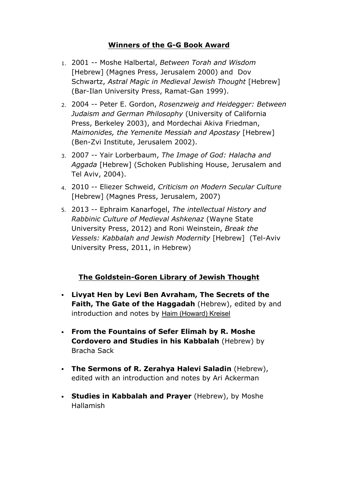## **Winners of the G-G Book Award**

- 1. 2001 -- Moshe Halbertal, *Between Torah and Wisdom* [Hebrew] (Magnes Press, Jerusalem 2000) and Dov Schwartz, *Astral Magic in Medieval Jewish Thought* [Hebrew] (Bar-Ilan University Press, Ramat-Gan 1999).
- 2. 2004 Peter E. Gordon, *Rosenzweig and Heidegger: Between Judaism and German Philosophy* (University of California Press, Berkeley 2003), and Mordechai Akiva Friedman, *Maimonides, the Yemenite Messiah and Apostasy* [Hebrew] (Ben-Zvi Institute, Jerusalem 2002).
- 3. 2007 Yair Lorberbaum, *The Image of God: Halacha and Aggada* [Hebrew] (Schoken Publishing House, Jerusalem and Tel Aviv, 2004).
- 4. 2010 Eliezer Schweid, *Criticism on Modern Secular Culture* [Hebrew] (Magnes Press, Jerusalem, 2007)
- 5. 2013 Ephraim Kanarfogel, *The intellectual History and Rabbinic Culture of Medieval Ashkenaz* (Wayne State University Press, 2012) and Roni Weinstein, *Break the Vessels: Kabbalah and Jewish Modernity* [Hebrew] (Tel-Aviv University Press, 2011, in Hebrew)

## **The Goldstein-Goren Library of Jewish Thought**

- **Livyat Hen by Levi Ben Avraham, The Secrets of the Faith, The Gate of the Haggadah** (Hebrew), edited by and introduction and notes by Haim (Howard) Kreisel
- **From the Fountains of Sefer Elimah by R. Moshe Cordovero and Studies in his Kabbalah** (Hebrew) by Bracha Sack
- **The Sermons of R. Zerahya Halevi Saladin** (Hebrew), edited with an introduction and notes by Ari Ackerman
- **Studies in Kabbalah and Prayer** (Hebrew), by Moshe Hallamish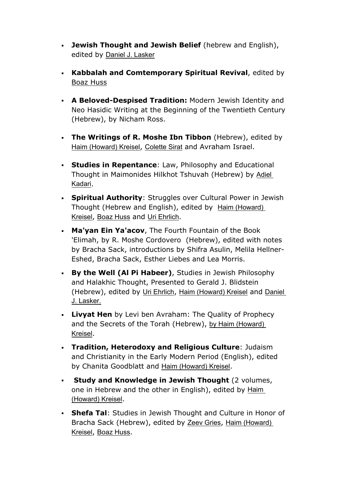- **Jewish Thought and Jewish Belief** (hebrew and English), edited by Daniel J. Lasker
- **Kabbalah and Comtemporary Spiritual Revival**, edited by Boaz Huss
- **A Beloved-Despised Tradition: Modern Jewish Identity and** Neo Hasidic Writing at the Beginning of the Twentieth Century (Hebrew), by Nicham Ross.
- **The Writings of R. Moshe Ibn Tibbon** (Hebrew), edited by Haim (Howard) Kreisel, Colette Sirat and Avraham Israel.
- **Studies in Repentance**: Law, Philosophy and Educational Thought in Maimonides Hilkhot Tshuvah (Hebrew) by Adiel Kadari.
- **Spiritual Authority**: Struggles over Cultural Power in Jewish Thought (Hebrew and English), edited by Haim (Howard) Kreisel, Boaz Huss and Uri Ehrlich.
- **Ma'yan Ein Ya'acov**, The Fourth Fountain of the Book 'Elimah, by R. Moshe Cordovero (Hebrew), edited with notes by Bracha Sack, introductions by Shifra Asulin, Melila Hellner-Eshed, Bracha Sack, Esther Liebes and Lea Morris.
- **By the Well (Al Pi Habeer)**, Studies in Jewish Philosophy and Halakhic Thought, Presented to Gerald J. Blidstein (Hebrew), edited by Uri Ehrlich, Haim (Howard) Kreisel and Daniel J. Lasker.
- **Livyat Hen** by Levi ben Avraham: The Quality of Prophecy and the Secrets of the Torah (Hebrew), by Haim (Howard) Kreisel.
- **Tradition, Heterodoxy and Religious Culture**: Judaism and Christianity in the Early Modern Period (English), edited by Chanita Goodblatt and Haim (Howard) Kreisel.
- **Study and Knowledge in Jewish Thought** (2 volumes, one in Hebrew and the other in English), edited by Haim (Howard) Kreisel.
- **Shefa Tal**: Studies in Jewish Thought and Culture in Honor of Bracha Sack (Hebrew), edited by Zeev Gries, Haim (Howard) Kreisel, Boaz Huss.